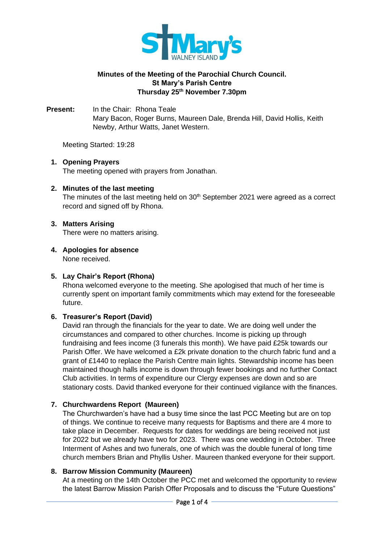

## **Minutes of the Meeting of the Parochial Church Council. St Mary's Parish Centre Thursday 25th November 7.30pm**

**Present:** In the Chair: Rhona Teale Mary Bacon, Roger Burns, Maureen Dale, Brenda Hill, David Hollis, Keith Newby, Arthur Watts, Janet Western.

Meeting Started: 19:28

## **1. Opening Prayers**

The meeting opened with prayers from Jonathan.

### **2. Minutes of the last meeting**

The minutes of the last meeting held on  $30<sup>th</sup>$  September 2021 were agreed as a correct record and signed off by Rhona.

### **3. Matters Arising**

There were no matters arising.

# **4. Apologies for absence**

None received.

## **5. Lay Chair's Report (Rhona)**

Rhona welcomed everyone to the meeting. She apologised that much of her time is currently spent on important family commitments which may extend for the foreseeable future.

## **6. Treasurer's Report (David)**

David ran through the financials for the year to date. We are doing well under the circumstances and compared to other churches. Income is picking up through fundraising and fees income (3 funerals this month). We have paid £25k towards our Parish Offer. We have welcomed a £2k private donation to the church fabric fund and a grant of £1440 to replace the Parish Centre main lights. Stewardship income has been maintained though halls income is down through fewer bookings and no further Contact Club activities. In terms of expenditure our Clergy expenses are down and so are stationary costs. David thanked everyone for their continued vigilance with the finances.

## **7. Churchwardens Report (Maureen)**

The Churchwarden's have had a busy time since the last PCC Meeting but are on top of things. We continue to receive many requests for Baptisms and there are 4 more to take place in December. Requests for dates for weddings are being received not just for 2022 but we already have two for 2023. There was one wedding in October. Three Interment of Ashes and two funerals, one of which was the double funeral of long time church members Brian and Phyllis Usher. Maureen thanked everyone for their support.

### **8. Barrow Mission Community (Maureen)**

At a meeting on the 14th October the PCC met and welcomed the opportunity to review the latest Barrow Mission Parish Offer Proposals and to discuss the "Future Questions"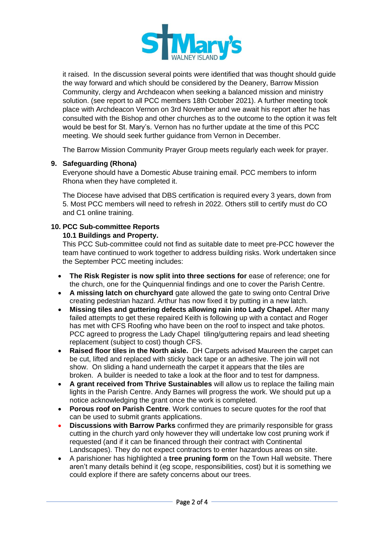

it raised. In the discussion several points were identified that was thought should guide the way forward and which should be considered by the Deanery, Barrow Mission Community, clergy and Archdeacon when seeking a balanced mission and ministry solution. (see report to all PCC members 18th October 2021). A further meeting took place with Archdeacon Vernon on 3rd November and we await his report after he has consulted with the Bishop and other churches as to the outcome to the option it was felt would be best for St. Mary's. Vernon has no further update at the time of this PCC meeting. We should seek further guidance from Vernon in December.

The Barrow Mission Community Prayer Group meets regularly each week for prayer.

## **9. Safeguarding (Rhona)**

Everyone should have a Domestic Abuse training email. PCC members to inform Rhona when they have completed it.

The Diocese have advised that DBS certification is required every 3 years, down from 5. Most PCC members will need to refresh in 2022. Others still to certify must do CO and C1 online training.

### **10. PCC Sub-committee Reports**

## **10.1 Buildings and Property.**

This PCC Sub-committee could not find as suitable date to meet pre-PCC however the team have continued to work together to address building risks. Work undertaken since the September PCC meeting includes:

- **The Risk Register is now split into three sections for** ease of reference; one for the church, one for the Quinquennial findings and one to cover the Parish Centre.
- **A missing latch on churchyard** gate allowed the gate to swing onto Central Drive creating pedestrian hazard. Arthur has now fixed it by putting in a new latch.
- **Missing tiles and guttering defects allowing rain into Lady Chapel.** After many failed attempts to get these repaired Keith is following up with a contact and Roger has met with CFS Roofing who have been on the roof to inspect and take photos. PCC agreed to progress the Lady Chapel tiling/guttering repairs and lead sheeting replacement (subject to cost) though CFS.
- **Raised floor tiles in the North aisle.** DH Carpets advised Maureen the carpet can be cut, lifted and replaced with sticky back tape or an adhesive. The join will not show. On sliding a hand underneath the carpet it appears that the tiles are broken. A builder is needed to take a look at the floor and to test for dampness.
- **A grant received from Thrive Sustainables** will allow us to replace the failing main lights in the Parish Centre. Andy Barnes will progress the work. We should put up a notice acknowledging the grant once the work is completed.
- **Porous roof on Parish Centre**. Work continues to secure quotes for the roof that can be used to submit grants applications.
- **Discussions with Barrow Parks** confirmed they are primarily responsible for grass cutting in the church yard only however they will undertake low cost pruning work if requested (and if it can be financed through their contract with Continental Landscapes). They do not expect contractors to enter hazardous areas on site.
- A parishioner has highlighted a **tree pruning form** on the Town Hall website. There aren't many details behind it (eg scope, responsibilities, cost) but it is something we could explore if there are safety concerns about our trees.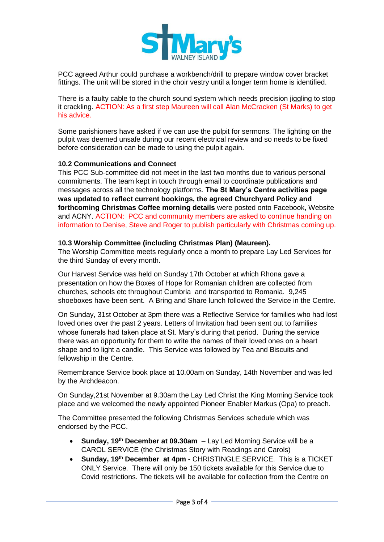

PCC agreed Arthur could purchase a workbench/drill to prepare window cover bracket fittings. The unit will be stored in the choir vestry until a longer term home is identified.

There is a faulty cable to the church sound system which needs precision jiggling to stop it crackling. ACTION: As a first step Maureen will call Alan McCracken (St Marks) to get his advice.

Some parishioners have asked if we can use the pulpit for sermons. The lighting on the pulpit was deemed unsafe during our recent electrical review and so needs to be fixed before consideration can be made to using the pulpit again.

### **10.2 Communications and Connect**

This PCC Sub-committee did not meet in the last two months due to various personal commitments. The team kept in touch through email to coordinate publications and messages across all the technology platforms. **The St Mary's Centre activities page was updated to reflect current bookings, the agreed Churchyard Policy and forthcoming Christmas Coffee morning details** were posted onto Facebook, Website and ACNY. ACTION: PCC and community members are asked to continue handing on information to Denise, Steve and Roger to publish particularly with Christmas coming up.

### **10.3 Worship Committee (including Christmas Plan) (Maureen).**

The Worship Committee meets regularly once a month to prepare Lay Led Services for the third Sunday of every month.

Our Harvest Service was held on Sunday 17th October at which Rhona gave a presentation on how the Boxes of Hope for Romanian children are collected from churches, schools etc throughout Cumbria and transported to Romania. 9,245 shoeboxes have been sent. A Bring and Share lunch followed the Service in the Centre.

On Sunday, 31st October at 3pm there was a Reflective Service for families who had lost loved ones over the past 2 years. Letters of Invitation had been sent out to families whose funerals had taken place at St. Mary's during that period. During the service there was an opportunity for them to write the names of their loved ones on a heart shape and to light a candle. This Service was followed by Tea and Biscuits and fellowship in the Centre.

Remembrance Service book place at 10.00am on Sunday, 14th November and was led by the Archdeacon.

On Sunday,21st November at 9.30am the Lay Led Christ the King Morning Service took place and we welcomed the newly appointed Pioneer Enabler Markus (Opa) to preach.

The Committee presented the following Christmas Services schedule which was endorsed by the PCC.

- **Sunday, 19th December at 09.30am**  Lay Led Morning Service will be a CAROL SERVICE (the Christmas Story with Readings and Carols)
- **Sunday, 19th December at 4pm** CHRISTINGLE SERVICE. This is a TICKET ONLY Service. There will only be 150 tickets available for this Service due to Covid restrictions. The tickets will be available for collection from the Centre on